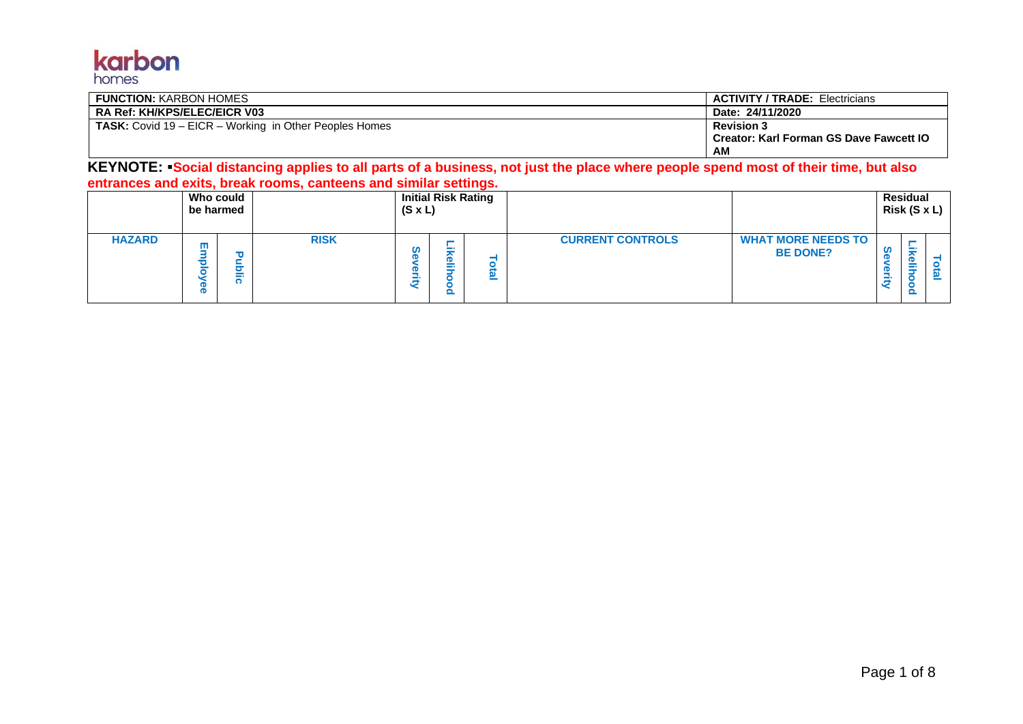## karbon homes

| <b>FUNCTION: KARBON HOMES</b>                                 | <b>ACTIVITY / TRADE: Electricians</b>          |
|---------------------------------------------------------------|------------------------------------------------|
| <b>RA Ref: KH/KPS/ELEC/EICR V03</b>                           | Date: 24/11/2020                               |
| <b>TASK:</b> Covid 19 – EICR – Working in Other Peoples Homes | <b>Revision 3</b>                              |
|                                                               | <b>Creator: Karl Forman GS Dave Fawcett IO</b> |
|                                                               | АM                                             |

**KEYNOTE:** ▪**Social distancing applies to all parts of a business, not just the place where people spend most of their time, but also entrances and exits, break rooms, canteens and similar settings.**

|               | Who could<br>be harmed |             | $(S \times L)$ |          | <b>Initial Risk Rating</b> |                         |                                              |                  | Residual<br>Risk (S x L) |  |
|---------------|------------------------|-------------|----------------|----------|----------------------------|-------------------------|----------------------------------------------|------------------|--------------------------|--|
| <b>HAZARD</b> | ш                      | <b>RISK</b> | m<br>ത<br>Ф    | Φ<br>- 1 |                            | <b>CURRENT CONTROLS</b> | <b>WHAT MORE NEEDS TO</b><br><b>BE DONE?</b> | ഗ<br>Œ<br>w<br>₿ | Œ<br>j                   |  |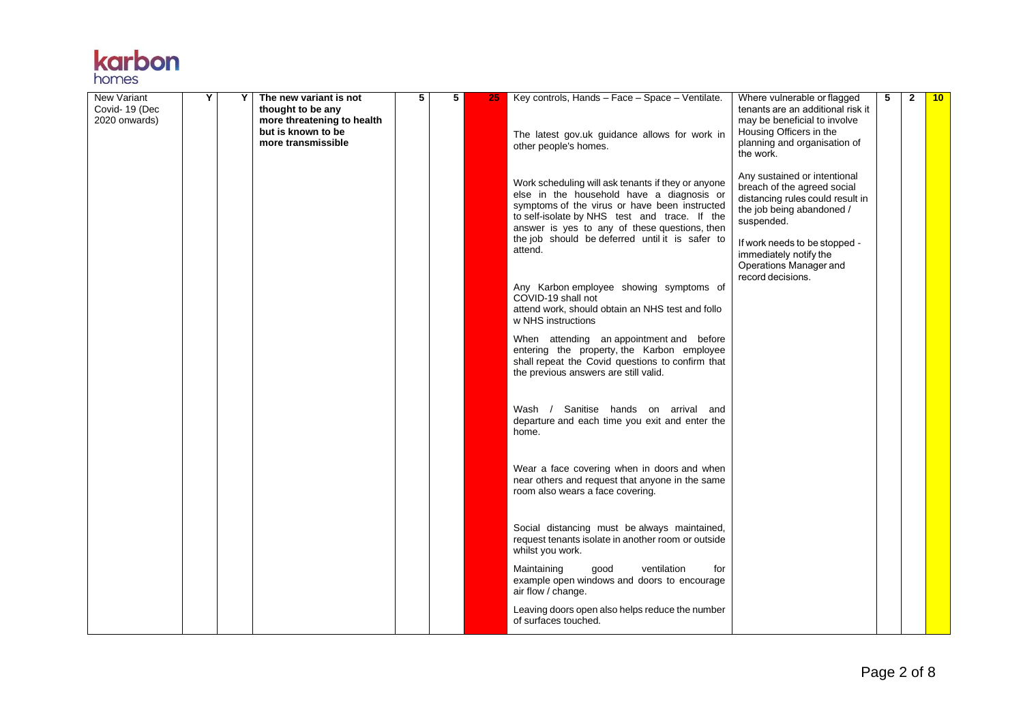

| New Variant<br>Covid- 19 (Dec<br>2020 onwards) | Υ | Υ | The new variant is not<br>thought to be any<br>more threatening to health<br>but is known to be<br>more transmissible | 5 | 5 | 25 | Key controls, Hands - Face - Space - Ventilate.<br>The latest gov.uk guidance allows for work in<br>other people's homes.                                                                                                                                                                                                                                                                                                                                   | Where vulnerable or flagged<br>tenants are an additional risk it<br>may be beneficial to involve<br>Housing Officers in the<br>planning and organisation of<br>the work.                                                                             | 5 | $\mathbf{2}$ | 10 |
|------------------------------------------------|---|---|-----------------------------------------------------------------------------------------------------------------------|---|---|----|-------------------------------------------------------------------------------------------------------------------------------------------------------------------------------------------------------------------------------------------------------------------------------------------------------------------------------------------------------------------------------------------------------------------------------------------------------------|------------------------------------------------------------------------------------------------------------------------------------------------------------------------------------------------------------------------------------------------------|---|--------------|----|
|                                                |   |   |                                                                                                                       |   |   |    | Work scheduling will ask tenants if they or anyone<br>else in the household have a diagnosis or<br>symptoms of the virus or have been instructed<br>to self-isolate by NHS test and trace. If the<br>answer is yes to any of these questions, then<br>the job should be deferred until it is safer to<br>attend.<br>Any Karbon employee showing symptoms of<br>COVID-19 shall not<br>attend work, should obtain an NHS test and follo<br>w NHS instructions | Any sustained or intentional<br>breach of the agreed social<br>distancing rules could result in<br>the job being abandoned /<br>suspended.<br>If work needs to be stopped -<br>immediately notify the<br>Operations Manager and<br>record decisions. |   |              |    |
|                                                |   |   |                                                                                                                       |   |   |    | When attending an appointment and before<br>entering the property, the Karbon employee<br>shall repeat the Covid questions to confirm that<br>the previous answers are still valid.                                                                                                                                                                                                                                                                         |                                                                                                                                                                                                                                                      |   |              |    |
|                                                |   |   |                                                                                                                       |   |   |    | Wash / Sanitise hands on arrival and<br>departure and each time you exit and enter the<br>home.                                                                                                                                                                                                                                                                                                                                                             |                                                                                                                                                                                                                                                      |   |              |    |
|                                                |   |   |                                                                                                                       |   |   |    | Wear a face covering when in doors and when<br>near others and request that anyone in the same<br>room also wears a face covering.                                                                                                                                                                                                                                                                                                                          |                                                                                                                                                                                                                                                      |   |              |    |
|                                                |   |   |                                                                                                                       |   |   |    | Social distancing must be always maintained,<br>request tenants isolate in another room or outside<br>whilst you work.                                                                                                                                                                                                                                                                                                                                      |                                                                                                                                                                                                                                                      |   |              |    |
|                                                |   |   |                                                                                                                       |   |   |    | ventilation<br>Maintaining<br>good<br>for<br>example open windows and doors to encourage<br>air flow / change.<br>Leaving doors open also helps reduce the number<br>of surfaces touched.                                                                                                                                                                                                                                                                   |                                                                                                                                                                                                                                                      |   |              |    |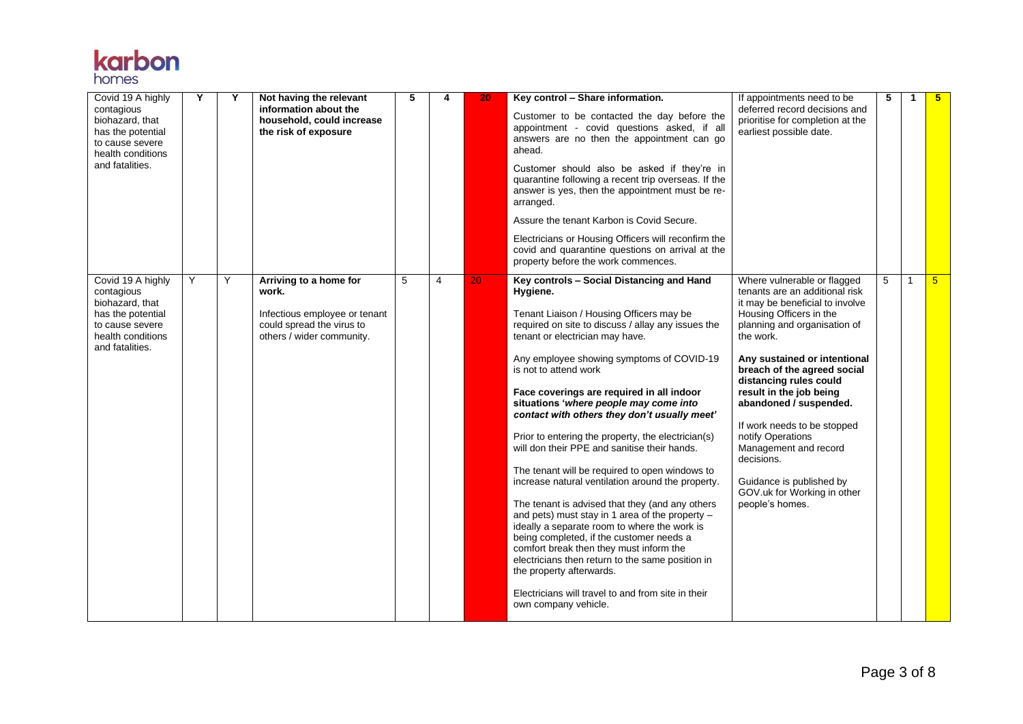

| Covid 19 A highly<br>contagious<br>biohazard, that<br>has the potential<br>to cause severe<br>health conditions<br>and fatalities. | Y | Y | Not having the relevant<br>information about the<br>household, could increase<br>the risk of exposure                      | 5 | 4              | 20 | Key control - Share information.<br>Customer to be contacted the day before the<br>appointment - covid questions asked, if all<br>answers are no then the appointment can go<br>ahead.<br>Customer should also be asked if they're in<br>quarantine following a recent trip overseas. If the<br>answer is yes, then the appointment must be re-<br>arranged.<br>Assure the tenant Karbon is Covid Secure.<br>Electricians or Housing Officers will reconfirm the<br>covid and quarantine questions on arrival at the<br>property before the work commences.                                                                                                                                                                                                                                                                                                                                                                                                                                                                       | If appointments need to be<br>deferred record decisions and<br>prioritise for completion at the<br>earliest possible date.                                                                                                                                                                                                                                                                                                                                                                      | 5 | $\mathbf 1$    | 5 <sup>1</sup> |
|------------------------------------------------------------------------------------------------------------------------------------|---|---|----------------------------------------------------------------------------------------------------------------------------|---|----------------|----|-----------------------------------------------------------------------------------------------------------------------------------------------------------------------------------------------------------------------------------------------------------------------------------------------------------------------------------------------------------------------------------------------------------------------------------------------------------------------------------------------------------------------------------------------------------------------------------------------------------------------------------------------------------------------------------------------------------------------------------------------------------------------------------------------------------------------------------------------------------------------------------------------------------------------------------------------------------------------------------------------------------------------------------|-------------------------------------------------------------------------------------------------------------------------------------------------------------------------------------------------------------------------------------------------------------------------------------------------------------------------------------------------------------------------------------------------------------------------------------------------------------------------------------------------|---|----------------|----------------|
| Covid 19 A highly<br>contagious<br>biohazard, that<br>has the potential<br>to cause severe<br>health conditions<br>and fatalities. | Y | Y | Arriving to a home for<br>work.<br>Infectious employee or tenant<br>could spread the virus to<br>others / wider community. | 5 | $\overline{4}$ | 20 | Key controls - Social Distancing and Hand<br>Hygiene.<br>Tenant Liaison / Housing Officers may be<br>required on site to discuss / allay any issues the<br>tenant or electrician may have.<br>Any employee showing symptoms of COVID-19<br>is not to attend work<br>Face coverings are required in all indoor<br>situations 'where people may come into<br>contact with others they don't usually meet'<br>Prior to entering the property, the electrician(s)<br>will don their PPE and sanitise their hands.<br>The tenant will be required to open windows to<br>increase natural ventilation around the property.<br>The tenant is advised that they (and any others<br>and pets) must stay in 1 area of the property $-$<br>ideally a separate room to where the work is<br>being completed, if the customer needs a<br>comfort break then they must inform the<br>electricians then return to the same position in<br>the property afterwards.<br>Electricians will travel to and from site in their<br>own company vehicle. | Where vulnerable or flagged<br>tenants are an additional risk<br>it may be beneficial to involve<br>Housing Officers in the<br>planning and organisation of<br>the work.<br>Any sustained or intentional<br>breach of the agreed social<br>distancing rules could<br>result in the job being<br>abandoned / suspended.<br>If work needs to be stopped<br>notify Operations<br>Management and record<br>decisions.<br>Guidance is published by<br>GOV.uk for Working in other<br>people's homes. | 5 | $\overline{1}$ | 5 <sup>5</sup> |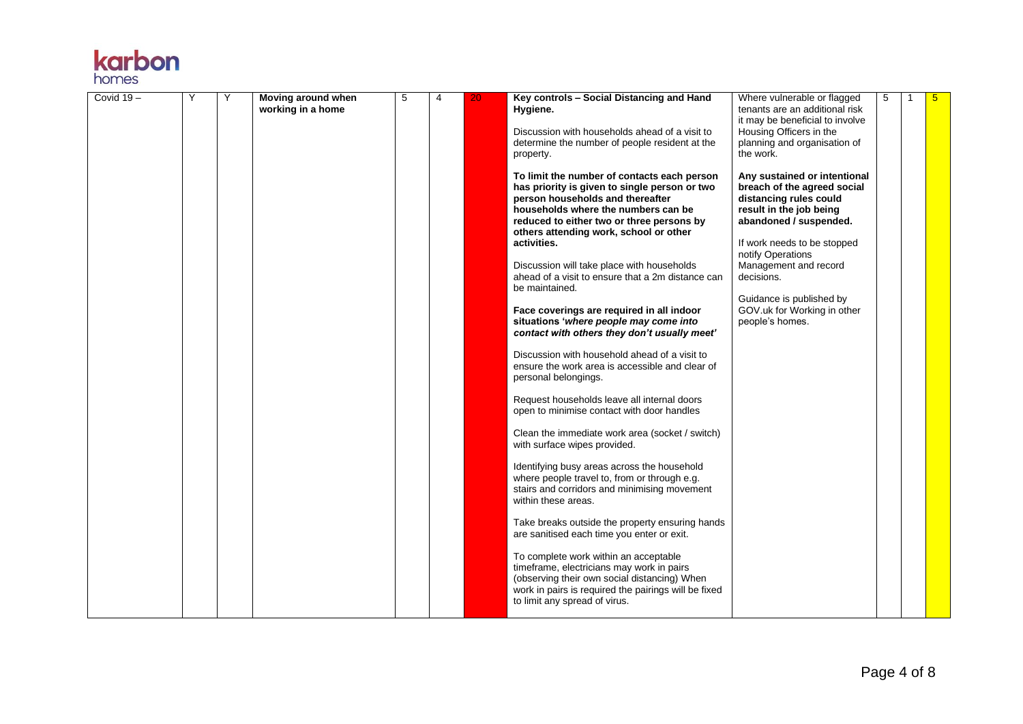| <b>Karpon</b> |  |
|---------------|--|
| homes         |  |
|               |  |

| Covid $19 -$ | Υ | Υ | Moving around when<br>working in a home | 5 | 4 | 20 | Key controls - Social Distancing and Hand<br>Hygiene.                                                                                                                                                                                                                                                                                                                                                                                                                                                                                                                                                                                                                                                                                                                                                                                                                                                                                                                                                                       | Where vulnerable or flagged<br>tenants are an additional risk<br>it may be beneficial to involve                                                                                                                                                                                                                    | 5 | 5 |
|--------------|---|---|-----------------------------------------|---|---|----|-----------------------------------------------------------------------------------------------------------------------------------------------------------------------------------------------------------------------------------------------------------------------------------------------------------------------------------------------------------------------------------------------------------------------------------------------------------------------------------------------------------------------------------------------------------------------------------------------------------------------------------------------------------------------------------------------------------------------------------------------------------------------------------------------------------------------------------------------------------------------------------------------------------------------------------------------------------------------------------------------------------------------------|---------------------------------------------------------------------------------------------------------------------------------------------------------------------------------------------------------------------------------------------------------------------------------------------------------------------|---|---|
|              |   |   |                                         |   |   |    | Discussion with households ahead of a visit to<br>determine the number of people resident at the<br>property.                                                                                                                                                                                                                                                                                                                                                                                                                                                                                                                                                                                                                                                                                                                                                                                                                                                                                                               | Housing Officers in the<br>planning and organisation of<br>the work.                                                                                                                                                                                                                                                |   |   |
|              |   |   |                                         |   |   |    | To limit the number of contacts each person<br>has priority is given to single person or two<br>person households and thereafter<br>households where the numbers can be<br>reduced to either two or three persons by<br>others attending work, school or other<br>activities.<br>Discussion will take place with households<br>ahead of a visit to ensure that a 2m distance can<br>be maintained.<br>Face coverings are required in all indoor<br>situations 'where people may come into<br>contact with others they don't usually meet'<br>Discussion with household ahead of a visit to<br>ensure the work area is accessible and clear of<br>personal belongings.<br>Request households leave all internal doors<br>open to minimise contact with door handles<br>Clean the immediate work area (socket / switch)<br>with surface wipes provided.<br>Identifying busy areas across the household<br>where people travel to, from or through e.g.<br>stairs and corridors and minimising movement<br>within these areas. | Any sustained or intentional<br>breach of the agreed social<br>distancing rules could<br>result in the job being<br>abandoned / suspended.<br>If work needs to be stopped<br>notify Operations<br>Management and record<br>decisions.<br>Guidance is published by<br>GOV.uk for Working in other<br>people's homes. |   |   |
|              |   |   |                                         |   |   |    | Take breaks outside the property ensuring hands<br>are sanitised each time you enter or exit.                                                                                                                                                                                                                                                                                                                                                                                                                                                                                                                                                                                                                                                                                                                                                                                                                                                                                                                               |                                                                                                                                                                                                                                                                                                                     |   |   |
|              |   |   |                                         |   |   |    | To complete work within an acceptable<br>timeframe, electricians may work in pairs<br>(observing their own social distancing) When<br>work in pairs is required the pairings will be fixed<br>to limit any spread of virus.                                                                                                                                                                                                                                                                                                                                                                                                                                                                                                                                                                                                                                                                                                                                                                                                 |                                                                                                                                                                                                                                                                                                                     |   |   |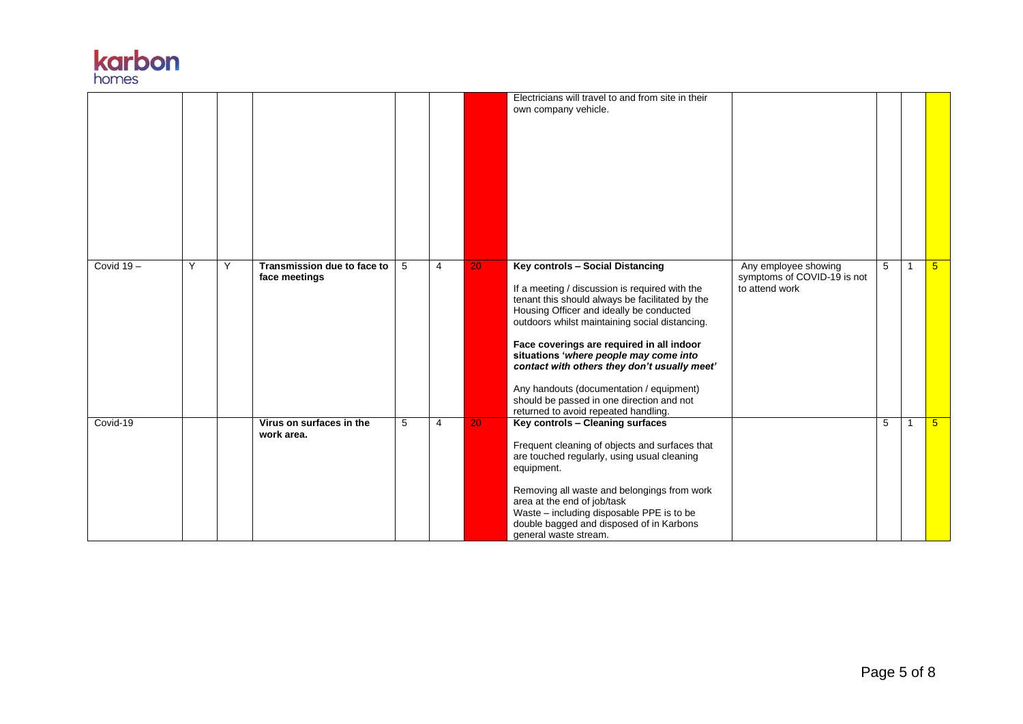

|              |   |   |                                              |   |                |    | Electricians will travel to and from site in their<br>own company vehicle.                                                                                                                                                                                                                                                                                                                                                                                                                                  |                                                                       |   |    |                |
|--------------|---|---|----------------------------------------------|---|----------------|----|-------------------------------------------------------------------------------------------------------------------------------------------------------------------------------------------------------------------------------------------------------------------------------------------------------------------------------------------------------------------------------------------------------------------------------------------------------------------------------------------------------------|-----------------------------------------------------------------------|---|----|----------------|
| Covid $19 -$ | Υ | Y | Transmission due to face to<br>face meetings | 5 | $\overline{4}$ | 20 | Key controls - Social Distancing<br>If a meeting / discussion is required with the<br>tenant this should always be facilitated by the<br>Housing Officer and ideally be conducted<br>outdoors whilst maintaining social distancing.<br>Face coverings are required in all indoor<br>situations 'where people may come into<br>contact with others they don't usually meet'<br>Any handouts (documentation / equipment)<br>should be passed in one direction and not<br>returned to avoid repeated handling. | Any employee showing<br>symptoms of COVID-19 is not<br>to attend work | 5 | -1 | 5 <sup>5</sup> |
| Covid-19     |   |   | Virus on surfaces in the<br>work area.       | 5 | 4              | 20 | Key controls - Cleaning surfaces<br>Frequent cleaning of objects and surfaces that<br>are touched regularly, using usual cleaning<br>equipment.<br>Removing all waste and belongings from work<br>area at the end of job/task<br>Waste - including disposable PPE is to be<br>double bagged and disposed of in Karbons<br>general waste stream.                                                                                                                                                             |                                                                       | 5 | -1 | 5 <sup>5</sup> |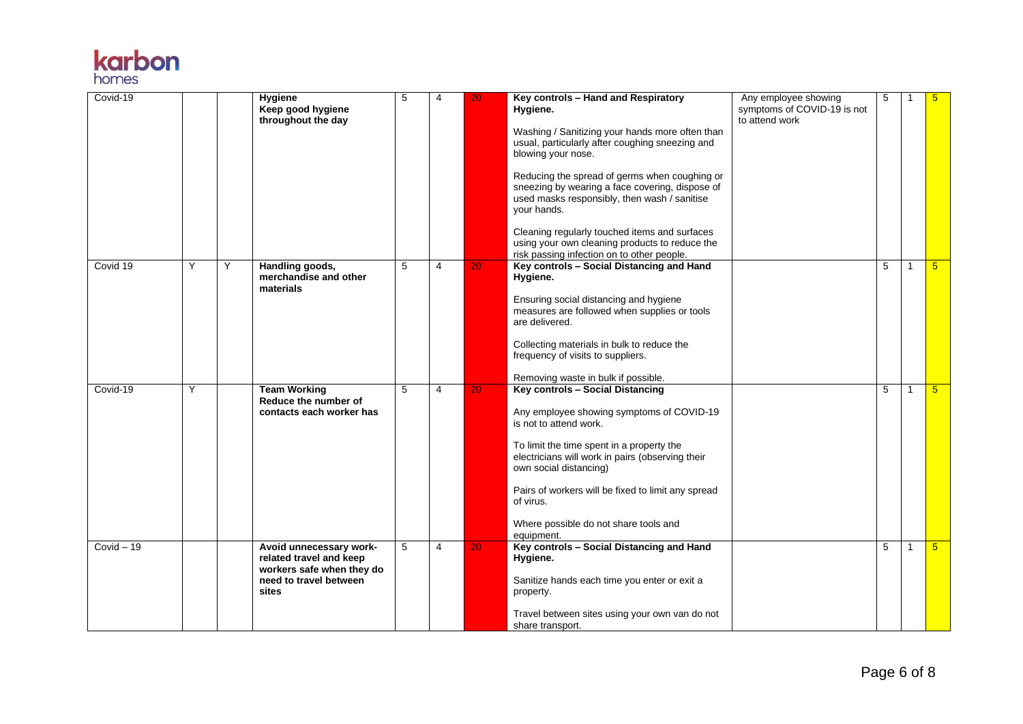

| Covid-19     |   |   | Hygiene<br>Keep good hygiene<br>throughout the day                                                                 | 5 | $\overline{4}$ | 20              | Key controls - Hand and Respiratory<br>Hygiene.<br>Washing / Sanitizing your hands more often than<br>usual, particularly after coughing sneezing and<br>blowing your nose.<br>Reducing the spread of germs when coughing or<br>sneezing by wearing a face covering, dispose of<br>used masks responsibly, then wash / sanitise<br>vour hands.<br>Cleaning regularly touched items and surfaces<br>using your own cleaning products to reduce the<br>risk passing infection on to other people. | Any employee showing<br>symptoms of COVID-19 is not<br>to attend work | 5 |              | 5               |
|--------------|---|---|--------------------------------------------------------------------------------------------------------------------|---|----------------|-----------------|-------------------------------------------------------------------------------------------------------------------------------------------------------------------------------------------------------------------------------------------------------------------------------------------------------------------------------------------------------------------------------------------------------------------------------------------------------------------------------------------------|-----------------------------------------------------------------------|---|--------------|-----------------|
| Covid 19     | Υ | Y | Handling goods,<br>merchandise and other<br>materials                                                              | 5 | 4              | 20 <sub>1</sub> | Key controls - Social Distancing and Hand<br>Hygiene.<br>Ensuring social distancing and hygiene<br>measures are followed when supplies or tools<br>are delivered.<br>Collecting materials in bulk to reduce the<br>frequency of visits to suppliers.<br>Removing waste in bulk if possible.                                                                                                                                                                                                     |                                                                       | 5 | 1            | $5^{\circ}$     |
| Covid-19     | Y |   | <b>Team Working</b><br>Reduce the number of<br>contacts each worker has                                            | 5 | 4              | 20 <sub>1</sub> | <b>Key controls - Social Distancing</b><br>Any employee showing symptoms of COVID-19<br>is not to attend work.<br>To limit the time spent in a property the<br>electricians will work in pairs (observing their<br>own social distancing)<br>Pairs of workers will be fixed to limit any spread<br>of virus.<br>Where possible do not share tools and<br>equipment.                                                                                                                             |                                                                       | 5 | $\mathbf{1}$ | $5\overline{)}$ |
| $Covid - 19$ |   |   | Avoid unnecessary work-<br>related travel and keep<br>workers safe when they do<br>need to travel between<br>sites | 5 | $\overline{4}$ | 20              | Key controls - Social Distancing and Hand<br>Hygiene.<br>Sanitize hands each time you enter or exit a<br>property.<br>Travel between sites using your own van do not<br>share transport.                                                                                                                                                                                                                                                                                                        |                                                                       | 5 | 1            | 5 <sup>5</sup>  |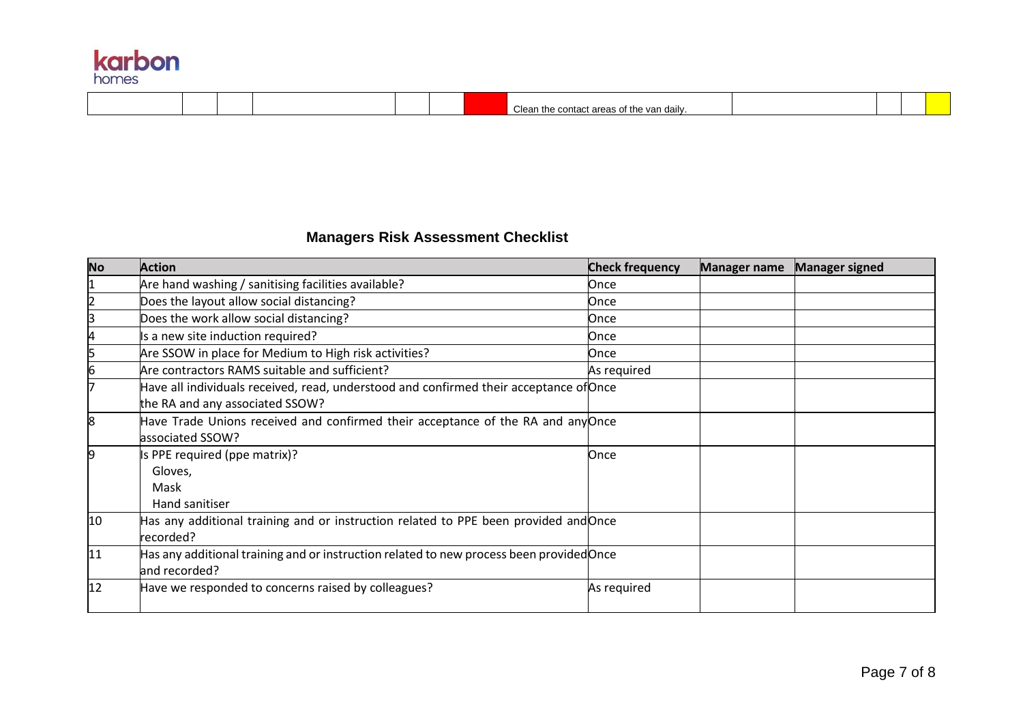| karbon<br>homes |  |  |  |                                           |  |  |
|-----------------|--|--|--|-------------------------------------------|--|--|
|                 |  |  |  | Clean the contact areas of the van daily. |  |  |

## **Managers Risk Assessment Checklist**

| <b>No</b> | <b>Action</b>                                                                                                             | <b>Check frequency</b> | <b>Manager name</b> | <b>Manager signed</b> |
|-----------|---------------------------------------------------------------------------------------------------------------------------|------------------------|---------------------|-----------------------|
|           | Are hand washing / sanitising facilities available?                                                                       | Once                   |                     |                       |
|           | Does the layout allow social distancing?                                                                                  | Once                   |                     |                       |
| З         | Does the work allow social distancing?                                                                                    | Once                   |                     |                       |
|           | Is a new site induction required?                                                                                         | Once                   |                     |                       |
|           | Are SSOW in place for Medium to High risk activities?                                                                     | Once                   |                     |                       |
| 6         | Are contractors RAMS suitable and sufficient?                                                                             | As required            |                     |                       |
|           | Have all individuals received, read, understood and confirmed their acceptance of Once<br>the RA and any associated SSOW? |                        |                     |                       |
| 18        | Have Trade Unions received and confirmed their acceptance of the RA and any Once<br>associated SSOW?                      |                        |                     |                       |
| 9         | Is PPE required (ppe matrix)?<br>Gloves,<br>Mask<br>Hand sanitiser                                                        | Once                   |                     |                       |
| 10        | Has any additional training and or instruction related to PPE been provided and Once<br>recorded?                         |                        |                     |                       |
| 11        | Has any additional training and or instruction related to new process been provided Once<br>and recorded?                 |                        |                     |                       |
| 12        | Have we responded to concerns raised by colleagues?                                                                       | As required            |                     |                       |